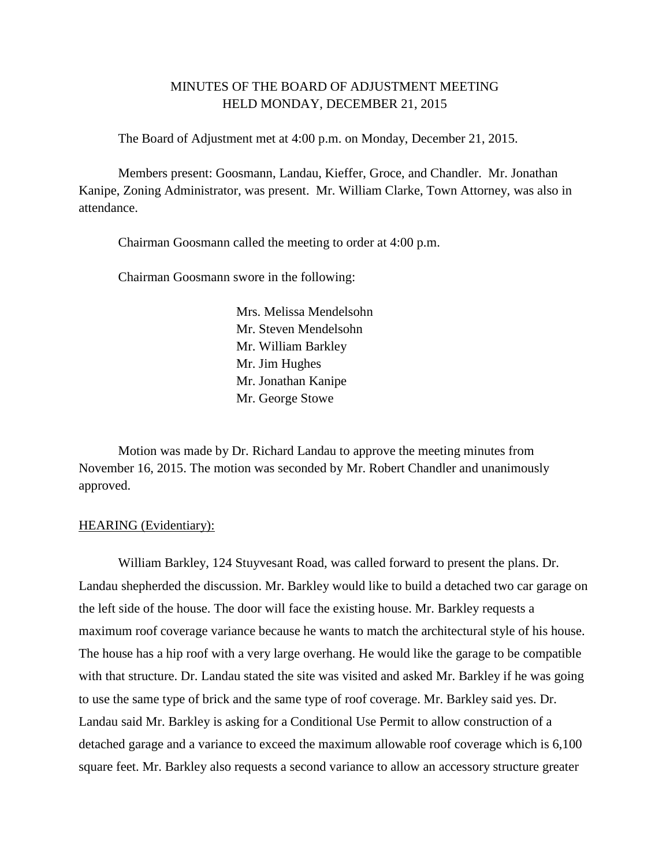# MINUTES OF THE BOARD OF ADJUSTMENT MEETING HELD MONDAY, DECEMBER 21, 2015

The Board of Adjustment met at 4:00 p.m. on Monday, December 21, 2015.

Members present: Goosmann, Landau, Kieffer, Groce, and Chandler. Mr. Jonathan Kanipe, Zoning Administrator, was present. Mr. William Clarke, Town Attorney, was also in attendance.

Chairman Goosmann called the meeting to order at 4:00 p.m.

Chairman Goosmann swore in the following:

Mrs. Melissa Mendelsohn Mr. Steven Mendelsohn Mr. William Barkley Mr. Jim Hughes Mr. Jonathan Kanipe Mr. George Stowe

Motion was made by Dr. Richard Landau to approve the meeting minutes from November 16, 2015. The motion was seconded by Mr. Robert Chandler and unanimously approved.

#### HEARING (Evidentiary):

William Barkley, 124 Stuyvesant Road, was called forward to present the plans. Dr. Landau shepherded the discussion. Mr. Barkley would like to build a detached two car garage on the left side of the house. The door will face the existing house. Mr. Barkley requests a maximum roof coverage variance because he wants to match the architectural style of his house. The house has a hip roof with a very large overhang. He would like the garage to be compatible with that structure. Dr. Landau stated the site was visited and asked Mr. Barkley if he was going to use the same type of brick and the same type of roof coverage. Mr. Barkley said yes. Dr. Landau said Mr. Barkley is asking for a Conditional Use Permit to allow construction of a detached garage and a variance to exceed the maximum allowable roof coverage which is 6,100 square feet. Mr. Barkley also requests a second variance to allow an accessory structure greater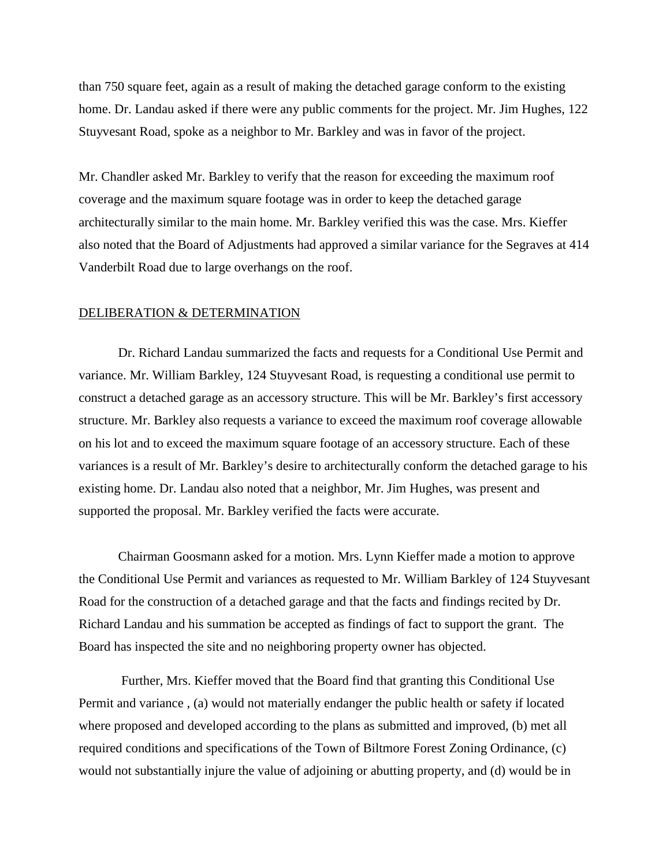than 750 square feet, again as a result of making the detached garage conform to the existing home. Dr. Landau asked if there were any public comments for the project. Mr. Jim Hughes, 122 Stuyvesant Road, spoke as a neighbor to Mr. Barkley and was in favor of the project.

Mr. Chandler asked Mr. Barkley to verify that the reason for exceeding the maximum roof coverage and the maximum square footage was in order to keep the detached garage architecturally similar to the main home. Mr. Barkley verified this was the case. Mrs. Kieffer also noted that the Board of Adjustments had approved a similar variance for the Segraves at 414 Vanderbilt Road due to large overhangs on the roof.

#### DELIBERATION & DETERMINATION

Dr. Richard Landau summarized the facts and requests for a Conditional Use Permit and variance. Mr. William Barkley, 124 Stuyvesant Road, is requesting a conditional use permit to construct a detached garage as an accessory structure. This will be Mr. Barkley's first accessory structure. Mr. Barkley also requests a variance to exceed the maximum roof coverage allowable on his lot and to exceed the maximum square footage of an accessory structure. Each of these variances is a result of Mr. Barkley's desire to architecturally conform the detached garage to his existing home. Dr. Landau also noted that a neighbor, Mr. Jim Hughes, was present and supported the proposal. Mr. Barkley verified the facts were accurate.

Chairman Goosmann asked for a motion. Mrs. Lynn Kieffer made a motion to approve the Conditional Use Permit and variances as requested to Mr. William Barkley of 124 Stuyvesant Road for the construction of a detached garage and that the facts and findings recited by Dr. Richard Landau and his summation be accepted as findings of fact to support the grant. The Board has inspected the site and no neighboring property owner has objected.

Further, Mrs. Kieffer moved that the Board find that granting this Conditional Use Permit and variance , (a) would not materially endanger the public health or safety if located where proposed and developed according to the plans as submitted and improved, (b) met all required conditions and specifications of the Town of Biltmore Forest Zoning Ordinance, (c) would not substantially injure the value of adjoining or abutting property, and (d) would be in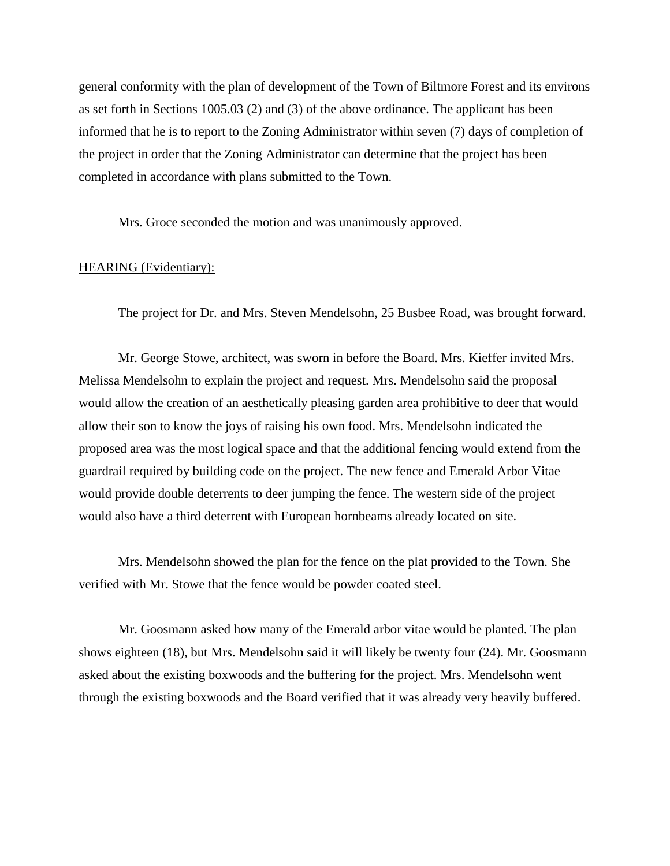general conformity with the plan of development of the Town of Biltmore Forest and its environs as set forth in Sections 1005.03 (2) and (3) of the above ordinance. The applicant has been informed that he is to report to the Zoning Administrator within seven (7) days of completion of the project in order that the Zoning Administrator can determine that the project has been completed in accordance with plans submitted to the Town.

Mrs. Groce seconded the motion and was unanimously approved.

## HEARING (Evidentiary):

The project for Dr. and Mrs. Steven Mendelsohn, 25 Busbee Road, was brought forward.

Mr. George Stowe, architect, was sworn in before the Board. Mrs. Kieffer invited Mrs. Melissa Mendelsohn to explain the project and request. Mrs. Mendelsohn said the proposal would allow the creation of an aesthetically pleasing garden area prohibitive to deer that would allow their son to know the joys of raising his own food. Mrs. Mendelsohn indicated the proposed area was the most logical space and that the additional fencing would extend from the guardrail required by building code on the project. The new fence and Emerald Arbor Vitae would provide double deterrents to deer jumping the fence. The western side of the project would also have a third deterrent with European hornbeams already located on site.

Mrs. Mendelsohn showed the plan for the fence on the plat provided to the Town. She verified with Mr. Stowe that the fence would be powder coated steel.

Mr. Goosmann asked how many of the Emerald arbor vitae would be planted. The plan shows eighteen (18), but Mrs. Mendelsohn said it will likely be twenty four (24). Mr. Goosmann asked about the existing boxwoods and the buffering for the project. Mrs. Mendelsohn went through the existing boxwoods and the Board verified that it was already very heavily buffered.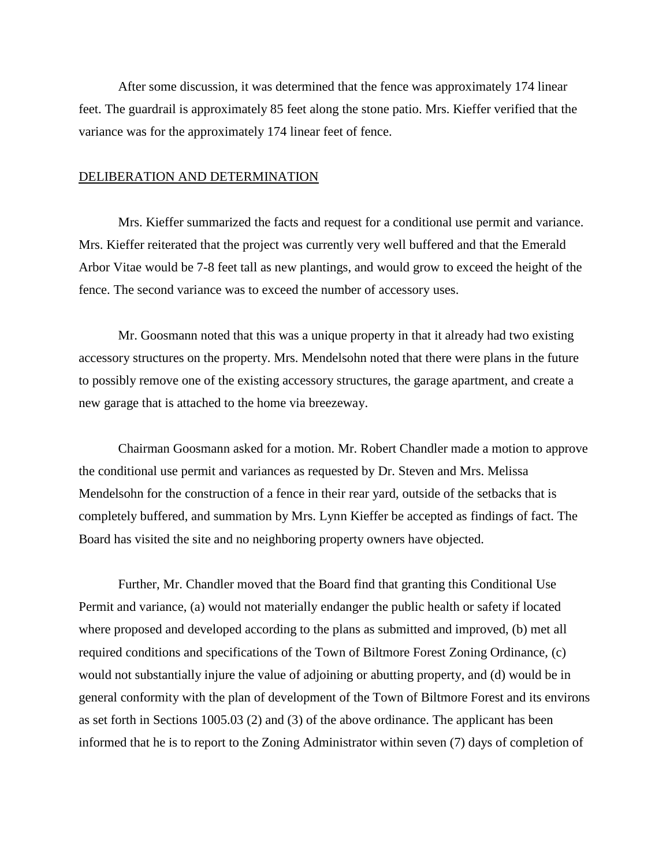After some discussion, it was determined that the fence was approximately 174 linear feet. The guardrail is approximately 85 feet along the stone patio. Mrs. Kieffer verified that the variance was for the approximately 174 linear feet of fence.

### DELIBERATION AND DETERMINATION

Mrs. Kieffer summarized the facts and request for a conditional use permit and variance. Mrs. Kieffer reiterated that the project was currently very well buffered and that the Emerald Arbor Vitae would be 7-8 feet tall as new plantings, and would grow to exceed the height of the fence. The second variance was to exceed the number of accessory uses.

Mr. Goosmann noted that this was a unique property in that it already had two existing accessory structures on the property. Mrs. Mendelsohn noted that there were plans in the future to possibly remove one of the existing accessory structures, the garage apartment, and create a new garage that is attached to the home via breezeway.

Chairman Goosmann asked for a motion. Mr. Robert Chandler made a motion to approve the conditional use permit and variances as requested by Dr. Steven and Mrs. Melissa Mendelsohn for the construction of a fence in their rear yard, outside of the setbacks that is completely buffered, and summation by Mrs. Lynn Kieffer be accepted as findings of fact. The Board has visited the site and no neighboring property owners have objected.

Further, Mr. Chandler moved that the Board find that granting this Conditional Use Permit and variance, (a) would not materially endanger the public health or safety if located where proposed and developed according to the plans as submitted and improved, (b) met all required conditions and specifications of the Town of Biltmore Forest Zoning Ordinance, (c) would not substantially injure the value of adjoining or abutting property, and (d) would be in general conformity with the plan of development of the Town of Biltmore Forest and its environs as set forth in Sections 1005.03 (2) and (3) of the above ordinance. The applicant has been informed that he is to report to the Zoning Administrator within seven (7) days of completion of